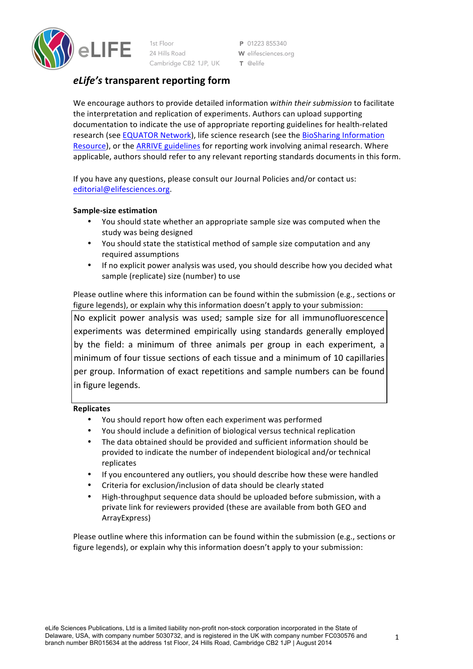

P 01223 855340 W elifesciences.org  $\tau$  @elife

# *eLife's* **transparent reporting form**

We encourage authors to provide detailed information within their submission to facilitate the interpretation and replication of experiments. Authors can upload supporting documentation to indicate the use of appropriate reporting guidelines for health-related research (see EQUATOR Network), life science research (see the BioSharing Information Resource), or the ARRIVE guidelines for reporting work involving animal research. Where applicable, authors should refer to any relevant reporting standards documents in this form.

If you have any questions, please consult our Journal Policies and/or contact us: editorial@elifesciences.org.

## **Sample-size estimation**

- You should state whether an appropriate sample size was computed when the study was being designed
- You should state the statistical method of sample size computation and any required assumptions
- If no explicit power analysis was used, you should describe how you decided what sample (replicate) size (number) to use

Please outline where this information can be found within the submission (e.g., sections or figure legends), or explain why this information doesn't apply to your submission:

No explicit power analysis was used; sample size for all immunofluorescence experiments was determined empirically using standards generally employed by the field: a minimum of three animals per group in each experiment, a minimum of four tissue sections of each tissue and a minimum of 10 capillaries per group. Information of exact repetitions and sample numbers can be found in figure legends.

## **Replicates**

- You should report how often each experiment was performed
- You should include a definition of biological versus technical replication
- The data obtained should be provided and sufficient information should be provided to indicate the number of independent biological and/or technical replicates
- If you encountered any outliers, you should describe how these were handled
- Criteria for exclusion/inclusion of data should be clearly stated
- High-throughput sequence data should be uploaded before submission, with a private link for reviewers provided (these are available from both GEO and ArrayExpress)

Please outline where this information can be found within the submission (e.g., sections or figure legends), or explain why this information doesn't apply to your submission: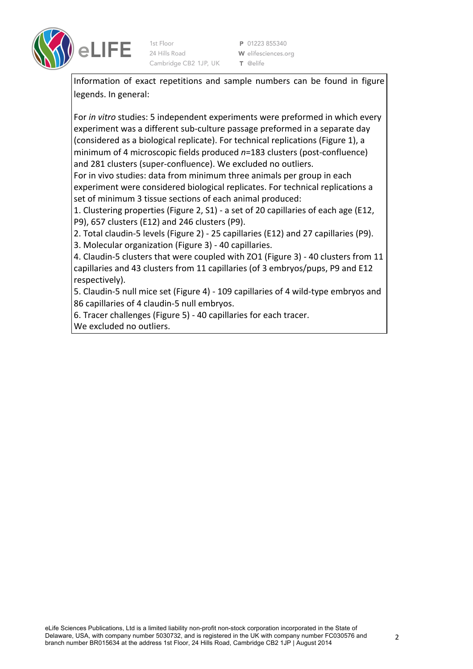

P 01223 855340 W elifesciences.org T @elife

Information of exact repetitions and sample numbers can be found in figure legends. In general:

For *in vitro* studies: 5 independent experiments were preformed in which every experiment was a different sub-culture passage preformed in a separate day (considered as a biological replicate). For technical replications (Figure 1), a minimum of 4 microscopic fields produced  $n=183$  clusters (post-confluence) and 281 clusters (super-confluence). We excluded no outliers.

For in vivo studies: data from minimum three animals per group in each experiment were considered biological replicates. For technical replications a set of minimum 3 tissue sections of each animal produced:

1. Clustering properties (Figure 2, S1) - a set of 20 capillaries of each age (E12, P9), 657 clusters (E12) and 246 clusters (P9).

2. Total claudin-5 levels (Figure 2) - 25 capillaries (E12) and 27 capillaries (P9).

3. Molecular organization (Figure 3) - 40 capillaries.

4. Claudin-5 clusters that were coupled with ZO1 (Figure 3) - 40 clusters from 11 capillaries and 43 clusters from 11 capillaries (of 3 embryos/pups, P9 and E12 respectively).

5. Claudin-5 null mice set (Figure 4) - 109 capillaries of 4 wild-type embryos and 86 capillaries of 4 claudin-5 null embryos.

6. Tracer challenges (Figure 5) - 40 capillaries for each tracer.

We excluded no outliers.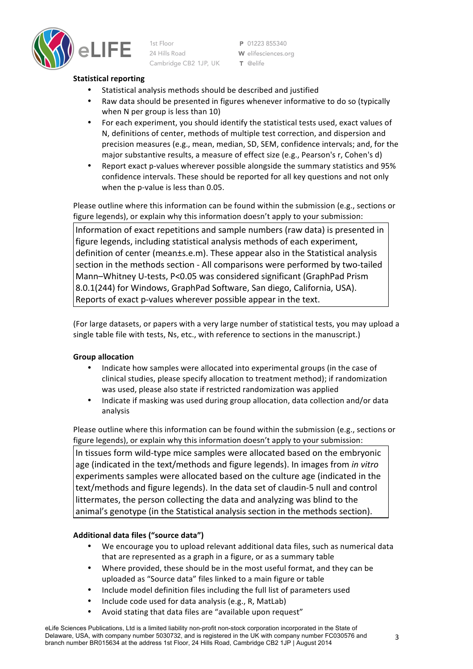

P 01223 855340 W elifesciences.org T @elife

## **Statistical reporting**

- Statistical analysis methods should be described and justified
- Raw data should be presented in figures whenever informative to do so (typically when N per group is less than 10)
- For each experiment, you should identify the statistical tests used, exact values of N, definitions of center, methods of multiple test correction, and dispersion and precision measures (e.g., mean, median, SD, SEM, confidence intervals; and, for the major substantive results, a measure of effect size (e.g., Pearson's r, Cohen's d)
- Report exact p-values wherever possible alongside the summary statistics and 95% confidence intervals. These should be reported for all key questions and not only when the p-value is less than 0.05.

Please outline where this information can be found within the submission (e.g., sections or figure legends), or explain why this information doesn't apply to your submission:

Information of exact repetitions and sample numbers (raw data) is presented in figure legends, including statistical analysis methods of each experiment, definition of center (mean±s.e.m). These appear also in the Statistical analysis section in the methods section - All comparisons were performed by two-tailed Mann-Whitney U-tests, P<0.05 was considered significant (GraphPad Prism 8.0.1(244) for Windows, GraphPad Software, San diego, California, USA). Reports of exact p-values wherever possible appear in the text.

(For large datasets, or papers with a very large number of statistical tests, you may upload a single table file with tests, Ns, etc., with reference to sections in the manuscript.)

## **Group allocation**

- Indicate how samples were allocated into experimental groups (in the case of clinical studies, please specify allocation to treatment method); if randomization was used, please also state if restricted randomization was applied
- Indicate if masking was used during group allocation, data collection and/or data analysis

Please outline where this information can be found within the submission (e.g., sections or figure legends), or explain why this information doesn't apply to your submission: In tissues form wild-type mice samples were allocated based on the embryonic age (indicated in the text/methods and figure legends). In images from *in vitro* experiments samples were allocated based on the culture age (indicated in the text/methods and figure legends). In the data set of claudin-5 null and control littermates, the person collecting the data and analyzing was blind to the animal's genotype (in the Statistical analysis section in the methods section).

## **Additional data files ("source data")**

- We encourage you to upload relevant additional data files, such as numerical data that are represented as a graph in a figure, or as a summary table
- Where provided, these should be in the most useful format, and they can be uploaded as "Source data" files linked to a main figure or table
- Include model definition files including the full list of parameters used
- Include code used for data analysis (e.g., R, MatLab)
- Avoid stating that data files are "available upon request"